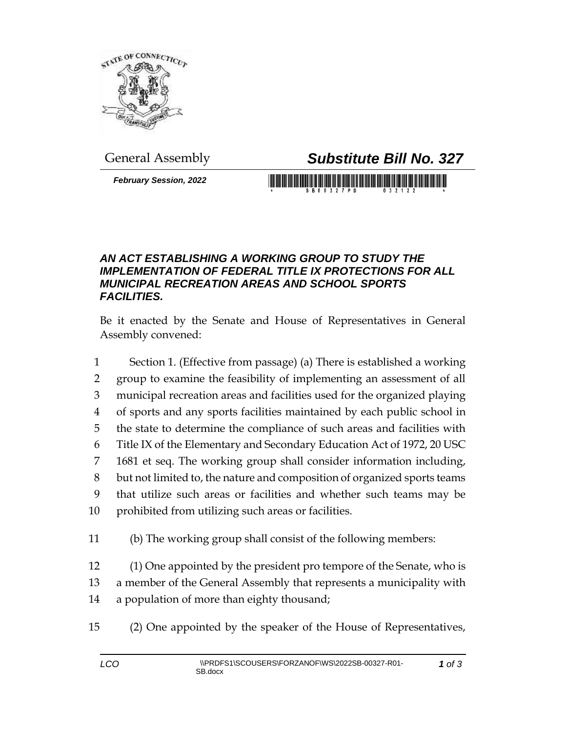

## General Assembly *Substitute Bill No. 327*

*February Session, 2022*

## *AN ACT ESTABLISHING A WORKING GROUP TO STUDY THE IMPLEMENTATION OF FEDERAL TITLE IX PROTECTIONS FOR ALL MUNICIPAL RECREATION AREAS AND SCHOOL SPORTS FACILITIES.*

Be it enacted by the Senate and House of Representatives in General Assembly convened:

 Section 1. (Effective from passage) (a) There is established a working group to examine the feasibility of implementing an assessment of all municipal recreation areas and facilities used for the organized playing of sports and any sports facilities maintained by each public school in the state to determine the compliance of such areas and facilities with Title IX of the Elementary and Secondary Education Act of 1972, 20 USC 1681 et seq. The working group shall consider information including, but not limited to, the nature and composition of organized sports teams that utilize such areas or facilities and whether such teams may be prohibited from utilizing such areas or facilities.

(b) The working group shall consist of the following members:

 (1) One appointed by the president pro tempore of the Senate, who is a member of the General Assembly that represents a municipality with a population of more than eighty thousand;

(2) One appointed by the speaker of the House of Representatives,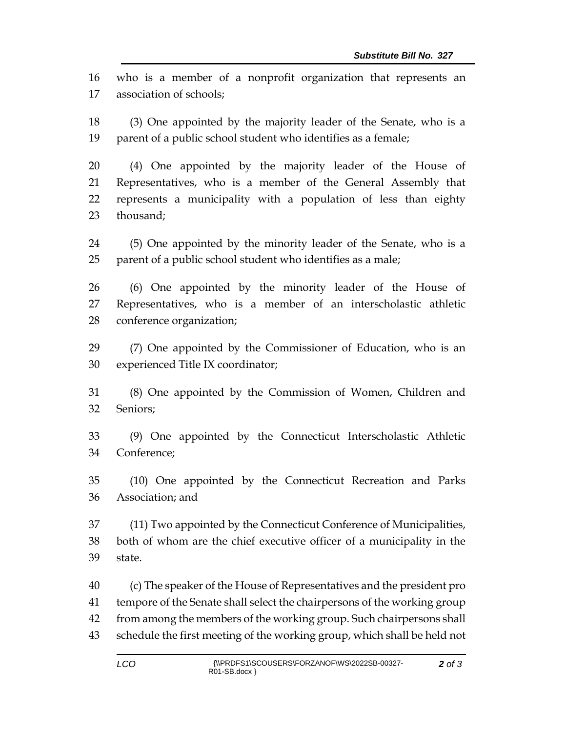who is a member of a nonprofit organization that represents an association of schools;

 (3) One appointed by the majority leader of the Senate, who is a parent of a public school student who identifies as a female;

 (4) One appointed by the majority leader of the House of Representatives, who is a member of the General Assembly that represents a municipality with a population of less than eighty thousand;

 (5) One appointed by the minority leader of the Senate, who is a parent of a public school student who identifies as a male;

 (6) One appointed by the minority leader of the House of Representatives, who is a member of an interscholastic athletic conference organization;

 (7) One appointed by the Commissioner of Education, who is an experienced Title IX coordinator;

 (8) One appointed by the Commission of Women, Children and Seniors;

 (9) One appointed by the Connecticut Interscholastic Athletic Conference;

 (10) One appointed by the Connecticut Recreation and Parks Association; and

 (11) Two appointed by the Connecticut Conference of Municipalities, both of whom are the chief executive officer of a municipality in the state.

 (c) The speaker of the House of Representatives and the president pro tempore of the Senate shall select the chairpersons of the working group from among the members of the working group. Such chairpersons shall schedule the first meeting of the working group, which shall be held not